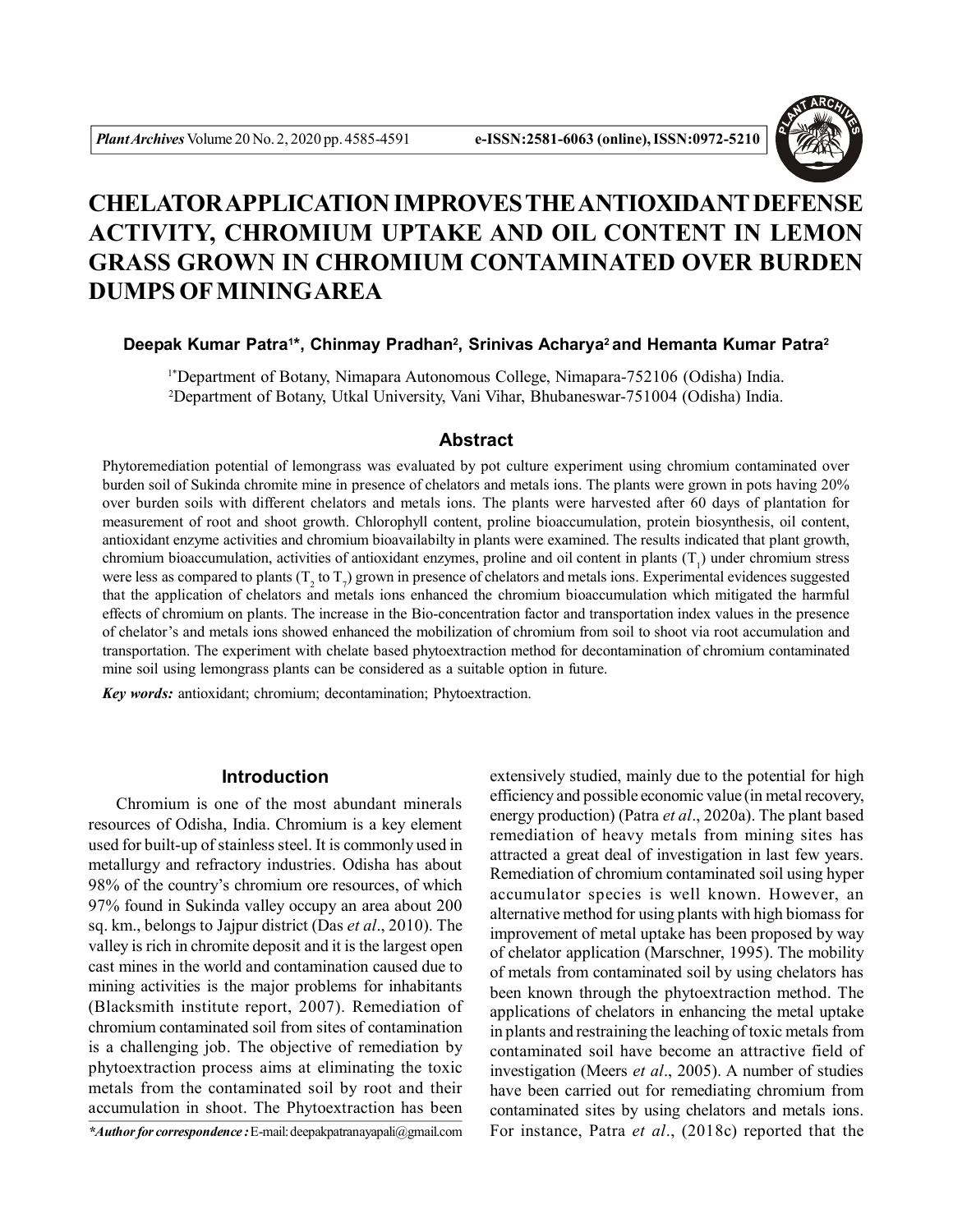

# **CHELATOR APPLICATION IMPROVES THE ANTIOXIDANT DEFENSE ACTIVITY, CHROMIUM UPTAKE AND OIL CONTENT IN LEMON GRASS GROWN IN CHROMIUM CONTAMINATED OVER BURDEN DUMPS OF MININGAREA**

## **Deepak Kumar Patra<sup>1</sup> \*, Chinmay Pradhan<sup>2</sup> , Srinivas Acharya<sup>2</sup>and Hemanta Kumar Patra<sup>2</sup>**

1\*Department of Botany, Nimapara Autonomous College, Nimapara-752106 (Odisha) India. <sup>2</sup>Department of Botany, Utkal University, Vani Vihar, Bhubaneswar-751004 (Odisha) India.

# **Abstract**

Phytoremediation potential of lemongrass was evaluated by pot culture experiment using chromium contaminated over burden soil of Sukinda chromite mine in presence of chelators and metals ions. The plants were grown in pots having 20% over burden soils with different chelators and metals ions. The plants were harvested after 60 days of plantation for measurement of root and shoot growth. Chlorophyll content, proline bioaccumulation, protein biosynthesis, oil content, antioxidant enzyme activities and chromium bioavailabilty in plants were examined. The results indicated that plant growth, chromium bioaccumulation, activities of antioxidant enzymes, proline and oil content in plants  $(T_1)$  under chromium stress were less as compared to plants ( $T_2$  to  $T_7$ ) grown in presence of chelators and metals ions. Experimental evidences suggested that the application of chelators and metals ions enhanced the chromium bioaccumulation which mitigated the harmful effects of chromium on plants. The increase in the Bio-concentration factor and transportation index values in the presence of chelator's and metals ions showed enhanced the mobilization of chromium from soil to shoot via root accumulation and transportation. The experiment with chelate based phytoextraction method for decontamination of chromium contaminated mine soil using lemongrass plants can be considered as a suitable option in future.

*Key words:* antioxidant; chromium; decontamination; Phytoextraction.

# **Introduction**

Chromium is one of the most abundant minerals resources of Odisha, India. Chromium is a key element used for built-up of stainless steel. It is commonly used in metallurgy and refractory industries. Odisha has about 98% of the country's chromium ore resources, of which 97% found in Sukinda valley occupy an area about 200 sq. km., belongs to Jajpur district (Das *et al*., 2010). The valley is rich in chromite deposit and it is the largest open cast mines in the world and contamination caused due to mining activities is the major problems for inhabitants (Blacksmith institute report, 2007). Remediation of chromium contaminated soil from sites of contamination is a challenging job. The objective of remediation by phytoextraction process aims at eliminating the toxic metals from the contaminated soil by root and their accumulation in shoot. The Phytoextraction has been

extensively studied, mainly due to the potential for high efficiency and possible economic value (in metal recovery, energy production) (Patra *et al*., 2020a). The plant based remediation of heavy metals from mining sites has attracted a great deal of investigation in last few years. Remediation of chromium contaminated soil using hyper accumulator species is well known. However, an alternative method for using plants with high biomass for improvement of metal uptake has been proposed by way of chelator application (Marschner, 1995). The mobility of metals from contaminated soil by using chelators has been known through the phytoextraction method. The applications of chelators in enhancing the metal uptake in plants and restraining the leaching of toxic metals from contaminated soil have become an attractive field of investigation (Meers *et al*., 2005). A number of studies have been carried out for remediating chromium from contaminated sites by using chelators and metals ions. *\*Author for correspondence :* E-mail: deepakpatranayapali@gmail.com For instance, Patra *et al*., (2018c) reported that the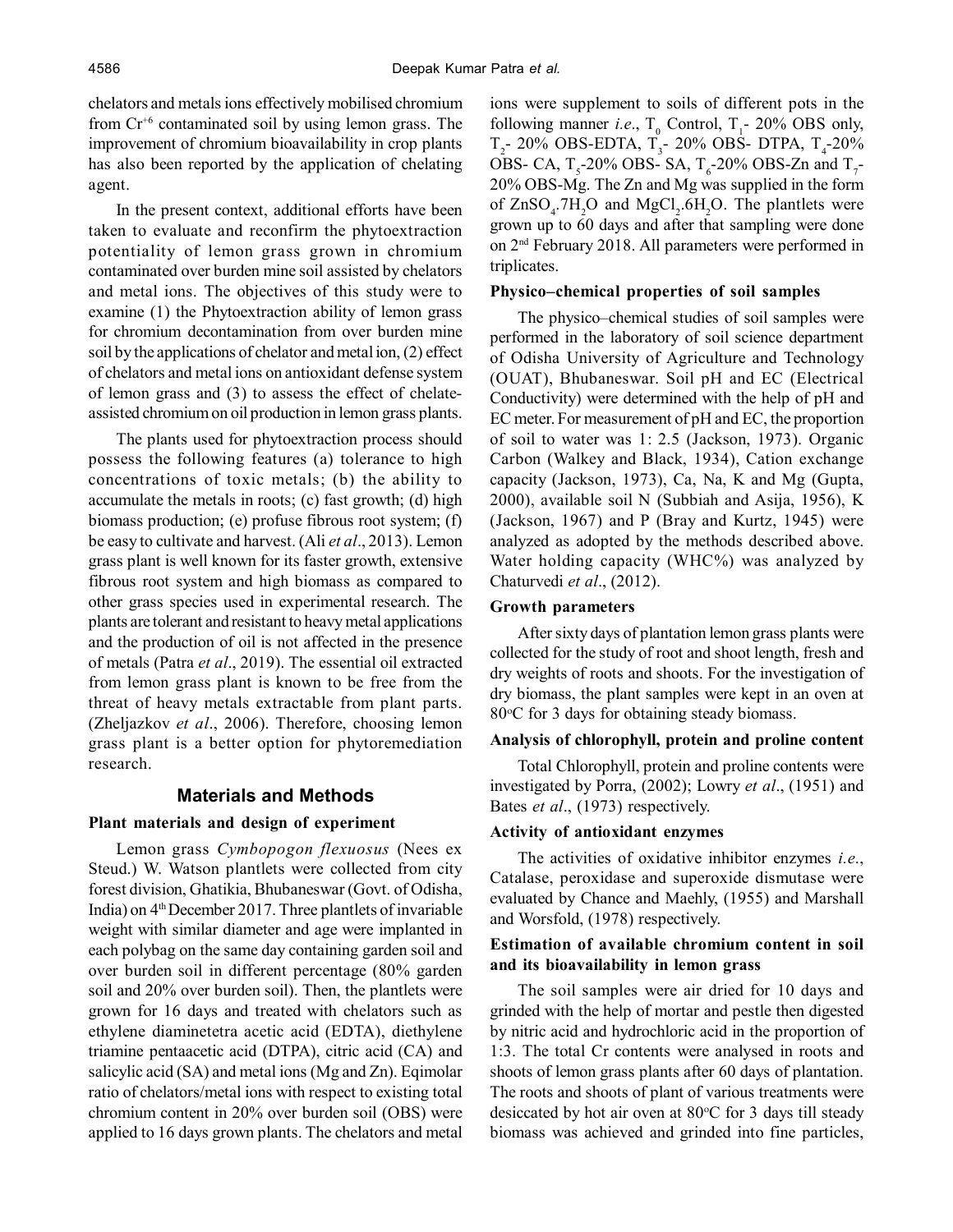chelators and metals ions effectively mobilised chromium from Cr+6 contaminated soil by using lemon grass. The improvement of chromium bioavailability in crop plants has also been reported by the application of chelating agent.

In the present context, additional efforts have been taken to evaluate and reconfirm the phytoextraction potentiality of lemon grass grown in chromium contaminated over burden mine soil assisted by chelators and metal ions. The objectives of this study were to examine (1) the Phytoextraction ability of lemon grass for chromium decontamination from over burden mine soil by the applications of chelator and metal ion, (2) effect of chelators and metal ions on antioxidant defense system of lemon grass and (3) to assess the effect of chelateassisted chromium on oil production in lemon grass plants.

The plants used for phytoextraction process should possess the following features (a) tolerance to high concentrations of toxic metals; (b) the ability to accumulate the metals in roots; (c) fast growth; (d) high biomass production; (e) profuse fibrous root system; (f) be easy to cultivate and harvest. (Ali *et al*., 2013). Lemon grass plant is well known for its faster growth, extensive fibrous root system and high biomass as compared to other grass species used in experimental research. The plants are tolerant and resistant to heavy metal applications and the production of oil is not affected in the presence of metals (Patra *et al*., 2019). The essential oil extracted from lemon grass plant is known to be free from the threat of heavy metals extractable from plant parts. (Zheljazkov *et al*., 2006). Therefore, choosing lemon grass plant is a better option for phytoremediation research.

# **Materials and Methods**

## **Plant materials and design of experiment**

Lemon grass *Cymbopogon flexuosus* (Nees ex Steud.) W. Watson plantlets were collected from city forest division, Ghatikia, Bhubaneswar (Govt. of Odisha, India) on 4th December 2017. Three plantlets of invariable weight with similar diameter and age were implanted in each polybag on the same day containing garden soil and over burden soil in different percentage (80% garden soil and 20% over burden soil). Then, the plantlets were grown for 16 days and treated with chelators such as ethylene diaminetetra acetic acid (EDTA), diethylene triamine pentaacetic acid (DTPA), citric acid (CA) and salicylic acid (SA) and metal ions (Mg and Zn). Eqimolar ratio of chelators/metal ions with respect to existing total chromium content in 20% over burden soil (OBS) were applied to 16 days grown plants. The chelators and metal ions were supplement to soils of different pots in the following manner *i.e.*,  $T_0$  Control,  $T_1$ - 20% OBS only,  $T_2$ - 20% OBS-EDTA,  $T_3$ - 20% OBS- DTPA,  $T_4$ -20% OBS- CA,  $T_s$ -20% OBS- SA,  $T_s$ -20% OBS-Zn and  $T_7$ -20% OBS-Mg. The Zn and Mg was supplied in the form of  $ZnSO_4$ .7H<sub>2</sub>O and MgCl<sub>2</sub>.6H<sub>2</sub>O. The plantlets were grown up to 60 days and after that sampling were done on 2nd February 2018. All parameters were performed in triplicates.

## **Physico–chemical properties of soil samples**

The physico–chemical studies of soil samples were performed in the laboratory of soil science department of Odisha University of Agriculture and Technology (OUAT), Bhubaneswar. Soil pH and EC (Electrical Conductivity) were determined with the help of pH and EC meter. For measurement of pH and EC, the proportion of soil to water was 1: 2.5 (Jackson, 1973). Organic Carbon (Walkey and Black, 1934), Cation exchange capacity (Jackson, 1973), Ca, Na, K and Mg (Gupta, 2000), available soil N (Subbiah and Asija, 1956), K (Jackson, 1967) and P (Bray and Kurtz, 1945) were analyzed as adopted by the methods described above. Water holding capacity (WHC%) was analyzed by Chaturvedi *et al*., (2012).

### **Growth parameters**

After sixty days of plantation lemon grass plants were collected for the study of root and shoot length, fresh and dry weights of roots and shoots. For the investigation of dry biomass, the plant samples were kept in an oven at 80 °C for 3 days for obtaining steady biomass.

## **Analysis of chlorophyll, protein and proline content**

Total Chlorophyll, protein and proline contents were investigated by Porra, (2002); Lowry *et al*., (1951) and Bates *et al*., (1973) respectively.

#### **Activity of antioxidant enzymes**

The activities of oxidative inhibitor enzymes *i.e*., Catalase, peroxidase and superoxide dismutase were evaluated by Chance and Maehly, (1955) and Marshall and Worsfold, (1978) respectively.

# **Estimation of available chromium content in soil and its bioavailability in lemon grass**

The soil samples were air dried for 10 days and grinded with the help of mortar and pestle then digested by nitric acid and hydrochloric acid in the proportion of 1:3. The total Cr contents were analysed in roots and shoots of lemon grass plants after 60 days of plantation. The roots and shoots of plant of various treatments were desiccated by hot air oven at  $80^{\circ}$ C for 3 days till steady biomass was achieved and grinded into fine particles,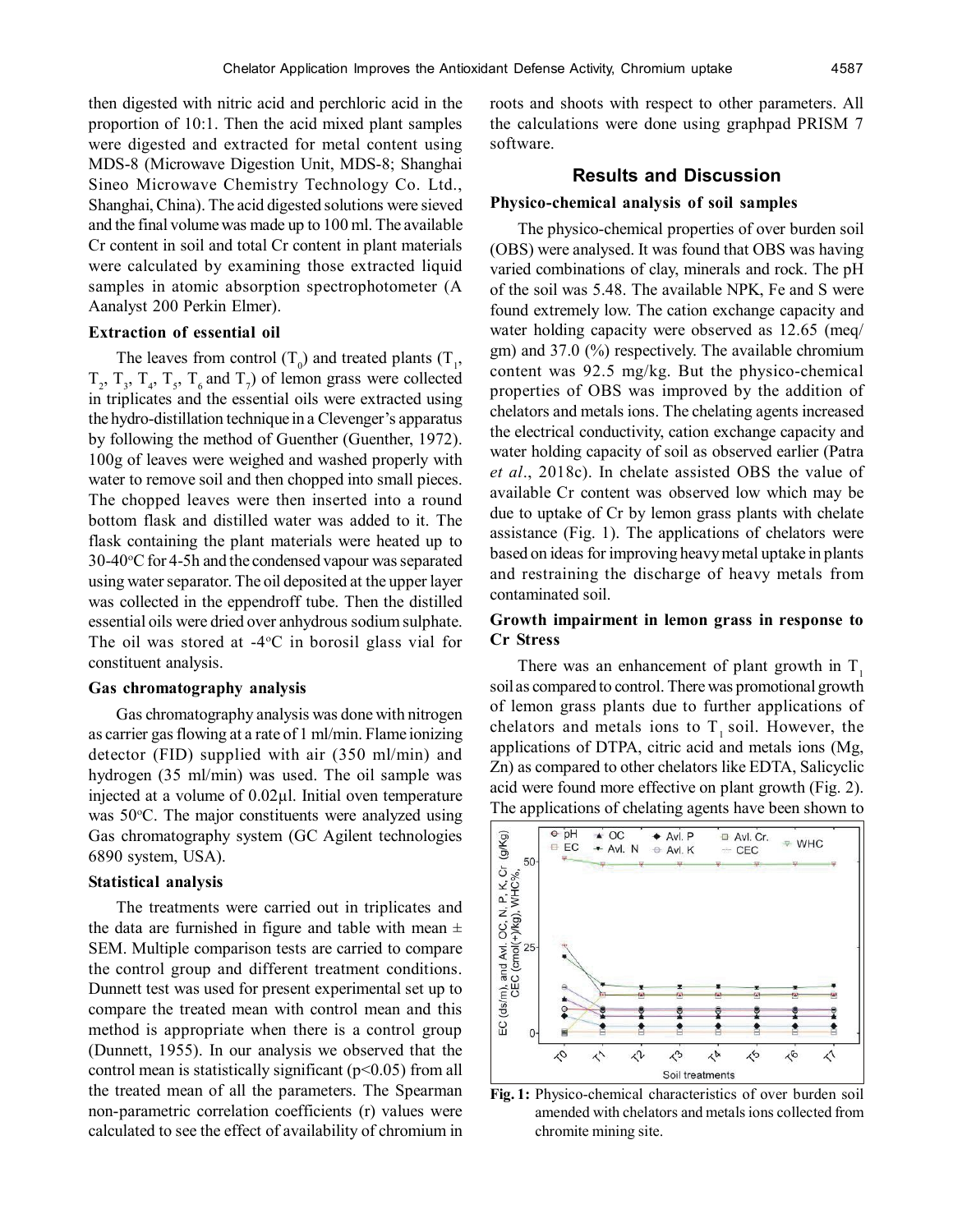then digested with nitric acid and perchloric acid in the proportion of 10:1. Then the acid mixed plant samples were digested and extracted for metal content using MDS-8 (Microwave Digestion Unit, MDS-8; Shanghai Sineo Microwave Chemistry Technology Co. Ltd., Shanghai, China). The acid digested solutions were sieved and the final volume was made up to 100 ml. The available Cr content in soil and total Cr content in plant materials were calculated by examining those extracted liquid samples in atomic absorption spectrophotometer (A Aanalyst 200 Perkin Elmer).

## **Extraction of essential oil**

The leaves from control  $(T_0)$  and treated plants  $(T_1)$ ,  $T_2$ ,  $T_3$ ,  $T_4$ ,  $T_5$ ,  $T_6$  and  $T_7$ ) of lemon grass were collected in triplicates and the essential oils were extracted using the hydro-distillation technique in a Clevenger's apparatus by following the method of Guenther (Guenther, 1972). 100g of leaves were weighed and washed properly with water to remove soil and then chopped into small pieces. The chopped leaves were then inserted into a round bottom flask and distilled water was added to it. The flask containing the plant materials were heated up to 30-40C for 4-5h and the condensed vapour was separated using water separator. The oil deposited at the upper layer was collected in the eppendroff tube. Then the distilled essential oils were dried over anhydrous sodium sulphate. The oil was stored at  $-4$ °C in borosil glass vial for constituent analysis.

#### **Gas chromatography analysis**

Gas chromatography analysis was done with nitrogen as carrier gas flowing at a rate of 1 ml/min. Flame ionizing detector (FID) supplied with air (350 ml/min) and hydrogen (35 ml/min) was used. The oil sample was injected at a volume of 0.02µl. Initial oven temperature was  $50^{\circ}$ C. The major constituents were analyzed using Gas chromatography system (GC Agilent technologies 6890 system, USA).

#### **Statistical analysis**

The treatments were carried out in triplicates and the data are furnished in figure and table with mean  $\pm$ SEM. Multiple comparison tests are carried to compare the control group and different treatment conditions. Dunnett test was used for present experimental set up to compare the treated mean with control mean and this method is appropriate when there is a control group (Dunnett, 1955). In our analysis we observed that the control mean is statistically significant  $(p<0.05)$  from all the treated mean of all the parameters. The Spearman non-parametric correlation coefficients (r) values were calculated to see the effect of availability of chromium in roots and shoots with respect to other parameters. All the calculations were done using graphpad PRISM 7 software.

## **Results and Discussion**

#### **Physico-chemical analysis of soil samples**

The physico-chemical properties of over burden soil (OBS) were analysed. It was found that OBS was having varied combinations of clay, minerals and rock. The pH of the soil was 5.48. The available NPK, Fe and S were found extremely low. The cation exchange capacity and water holding capacity were observed as 12.65 (meq/ gm) and 37.0 (%) respectively. The available chromium content was 92.5 mg/kg. But the physico-chemical properties of OBS was improved by the addition of chelators and metals ions. The chelating agents increased the electrical conductivity, cation exchange capacity and water holding capacity of soil as observed earlier (Patra *et al*., 2018c). In chelate assisted OBS the value of available Cr content was observed low which may be due to uptake of Cr by lemon grass plants with chelate assistance (Fig. 1). The applications of chelators were based on ideas for improving heavy metal uptake in plants and restraining the discharge of heavy metals from contaminated soil.

## **Growth impairment in lemon grass in response to Cr Stress**

There was an enhancement of plant growth in  $T<sub>1</sub>$ soil as compared to control. There was promotional growth of lemon grass plants due to further applications of chelators and metals ions to  $T<sub>1</sub>$  soil. However, the applications of DTPA, citric acid and metals ions (Mg, Zn) as compared to other chelators like EDTA, Salicyclic acid were found more effective on plant growth (Fig. 2). The applications of chelating agents have been shown to



**Fig. 1:** Physico-chemical characteristics of over burden soil amended with chelators and metals ions collected from chromite mining site.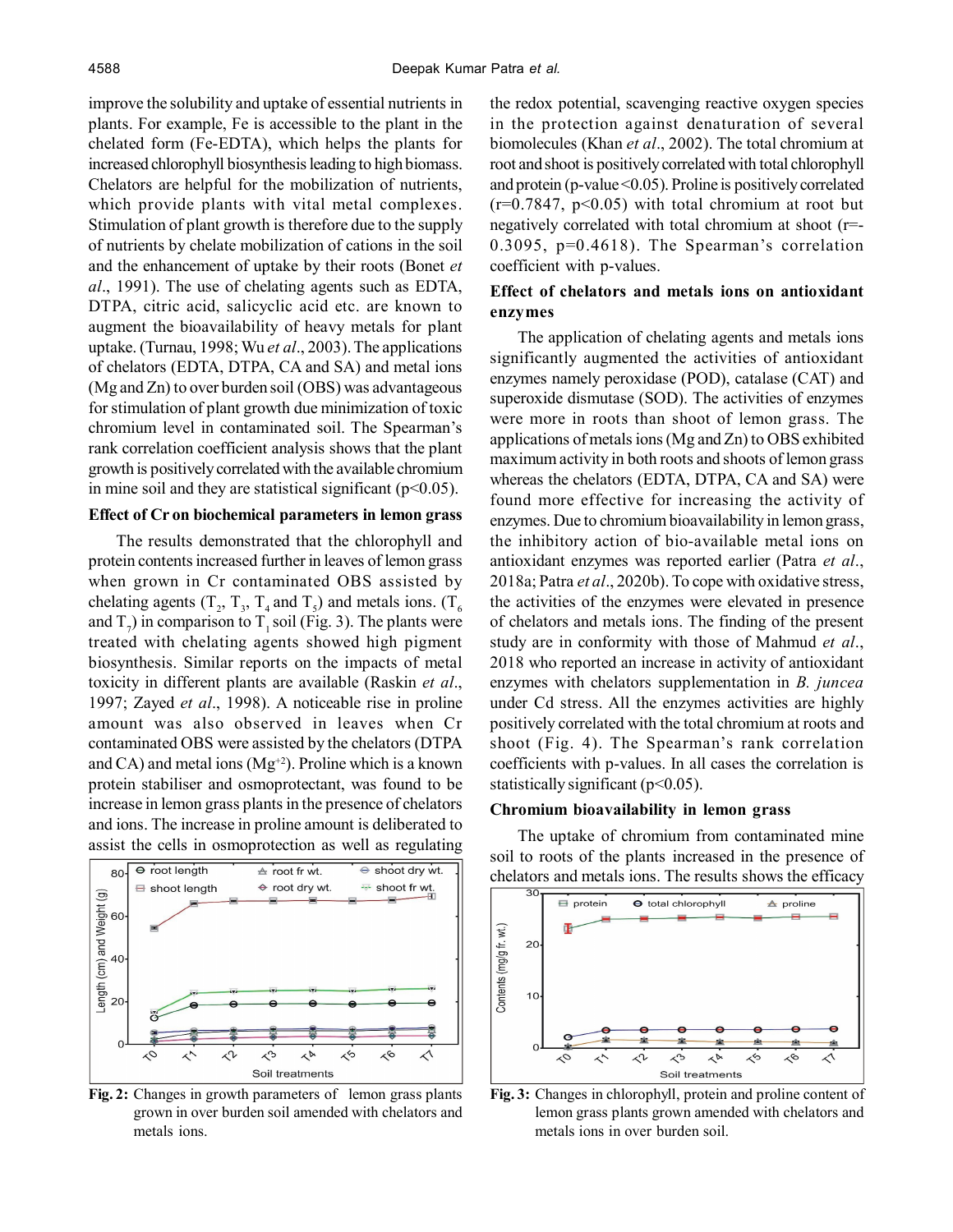improve the solubility and uptake of essential nutrients in plants. For example, Fe is accessible to the plant in the chelated form (Fe-EDTA), which helps the plants for increased chlorophyll biosynthesis leading to high biomass. Chelators are helpful for the mobilization of nutrients, which provide plants with vital metal complexes. Stimulation of plant growth is therefore due to the supply of nutrients by chelate mobilization of cations in the soil and the enhancement of uptake by their roots (Bonet *et al*., 1991). The use of chelating agents such as EDTA, DTPA, citric acid, salicyclic acid etc. are known to augment the bioavailability of heavy metals for plant uptake. (Turnau, 1998; Wu *et al*., 2003). The applications of chelators (EDTA, DTPA, CA and SA) and metal ions (Mg and Zn) to over burden soil (OBS) was advantageous for stimulation of plant growth due minimization of toxic chromium level in contaminated soil. The Spearman's rank correlation coefficient analysis shows that the plant growth is positively correlated with the available chromium in mine soil and they are statistical significant  $(p<0.05)$ .

## **Effect of Cr on biochemical parameters in lemon grass**

The results demonstrated that the chlorophyll and protein contents increased further in leaves of lemon grass when grown in Cr contaminated OBS assisted by chelating agents (T<sub>2</sub>, T<sub>3</sub>, T<sub>4</sub> and T<sub>5</sub>) and metals ions. (T<sub>6</sub> and  $T_7$ ) in comparison to  $T_1$  soil (Fig. 3). The plants were treated with chelating agents showed high pigment biosynthesis. Similar reports on the impacts of metal toxicity in different plants are available (Raskin *et al*., 1997; Zayed *et al*., 1998). A noticeable rise in proline amount was also observed in leaves when Cr contaminated OBS were assisted by the chelators (DTPA and CA) and metal ions  $(Mg<sup>+2</sup>)$ . Proline which is a known protein stabiliser and osmoprotectant, was found to be increase in lemon grass plants in the presence of chelators and ions. The increase in proline amount is deliberated to assist the cells in osmoprotection as well as regulating



**Fig. 2:** Changes in growth parameters of lemon grass plants grown in over burden soil amended with chelators and metals ions.

the redox potential, scavenging reactive oxygen species in the protection against denaturation of several biomolecules (Khan *et al*., 2002). The total chromium at root and shoot is positively correlated with total chlorophyll and protein (p-value  $\leq$  0.05). Proline is positively correlated  $(r=0.7847, p<0.05)$  with total chromium at root but negatively correlated with total chromium at shoot (r=- 0.3095, p=0.4618). The Spearman's correlation coefficient with p-values.

# **Effect of chelators and metals ions on antioxidant enzymes**

The application of chelating agents and metals ions significantly augmented the activities of antioxidant enzymes namely peroxidase (POD), catalase (CAT) and superoxide dismutase (SOD). The activities of enzymes were more in roots than shoot of lemon grass. The applications of metals ions (Mg and Zn) to OBS exhibited maximum activity in both roots and shoots of lemon grass whereas the chelators (EDTA, DTPA, CA and SA) were found more effective for increasing the activity of enzymes. Due to chromium bioavailability in lemon grass, the inhibitory action of bio-available metal ions on antioxidant enzymes was reported earlier (Patra *et al*., 2018a; Patra *et al*., 2020b). To cope with oxidative stress, the activities of the enzymes were elevated in presence of chelators and metals ions. The finding of the present study are in conformity with those of Mahmud *et al*., 2018 who reported an increase in activity of antioxidant enzymes with chelators supplementation in *B. juncea* under Cd stress. All the enzymes activities are highly positively correlated with the total chromium at roots and shoot (Fig. 4). The Spearman's rank correlation coefficients with p-values. In all cases the correlation is statistically significant ( $p<0.05$ ).

#### **Chromium bioavailability in lemon grass**

The uptake of chromium from contaminated mine soil to roots of the plants increased in the presence of chelators and metals ions. The results shows the efficacy



**Fig. 3:** Changes in chlorophyll, protein and proline content of lemon grass plants grown amended with chelators and metals ions in over burden soil.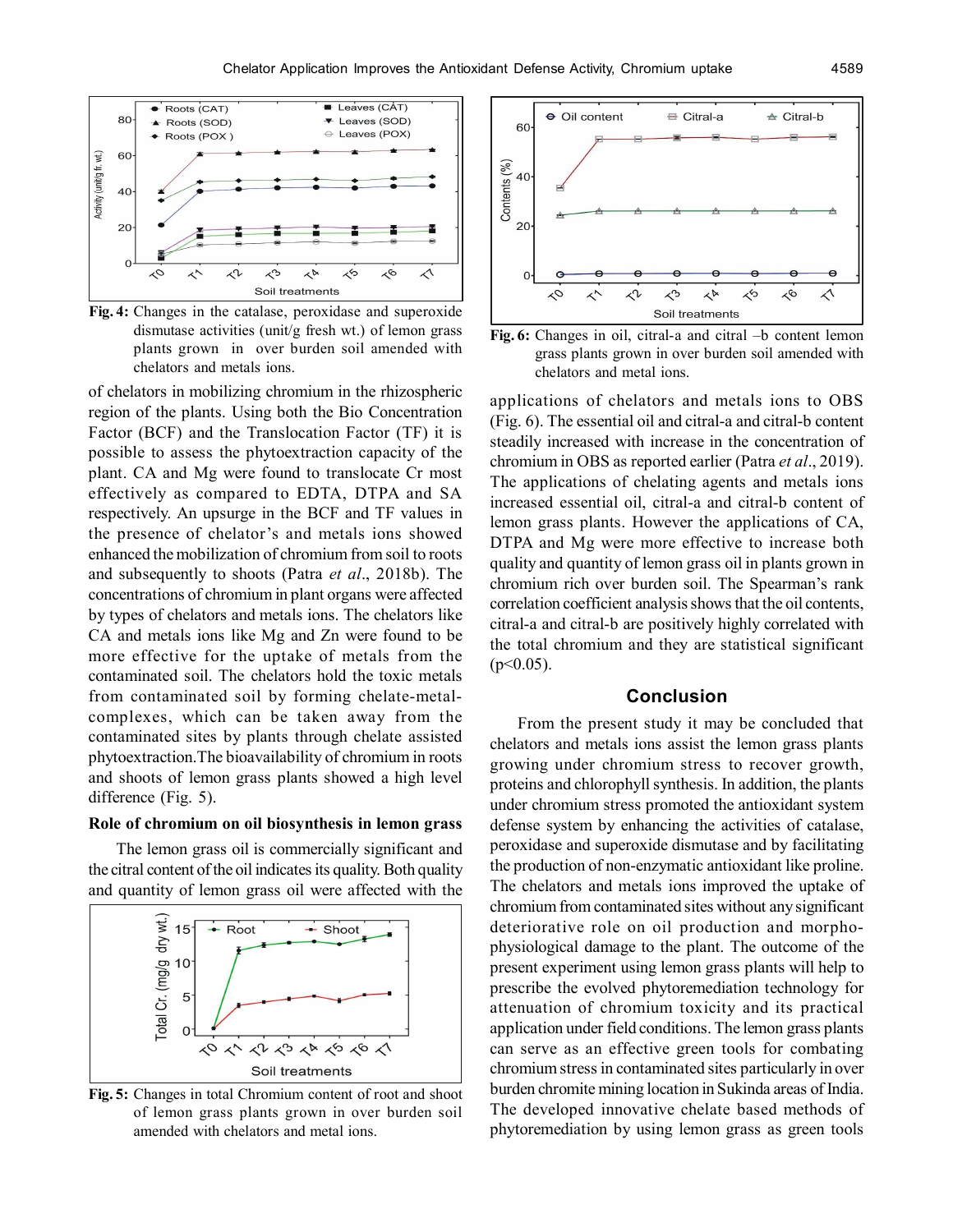

**Fig. 4:** Changes in the catalase, peroxidase and superoxide dismutase activities (unit/g fresh wt.) of lemon grass plants grown in over burden soil amended with chelators and metals ions.

of chelators in mobilizing chromium in the rhizospheric region of the plants. Using both the Bio Concentration Factor (BCF) and the Translocation Factor (TF) it is possible to assess the phytoextraction capacity of the plant. CA and Mg were found to translocate Cr most effectively as compared to EDTA, DTPA and SA respectively. An upsurge in the BCF and TF values in the presence of chelator's and metals ions showed enhanced the mobilization of chromium from soil to roots and subsequently to shoots (Patra *et al*., 2018b). The concentrations of chromium in plant organs were affected by types of chelators and metals ions. The chelators like CA and metals ions like Mg and Zn were found to be more effective for the uptake of metals from the contaminated soil. The chelators hold the toxic metals from contaminated soil by forming chelate-metalcomplexes, which can be taken away from the contaminated sites by plants through chelate assisted phytoextraction.The bioavailability of chromium in roots and shoots of lemon grass plants showed a high level difference (Fig. 5).

#### **Role of chromium on oil biosynthesis in lemon grass**

The lemon grass oil is commercially significant and the citral content of the oil indicates its quality. Both quality and quantity of lemon grass oil were affected with the



**Fig. 5:** Changes in total Chromium content of root and shoot of lemon grass plants grown in over burden soil amended with chelators and metal ions.





applications of chelators and metals ions to OBS (Fig. 6). The essential oil and citral-a and citral-b content steadily increased with increase in the concentration of chromium in OBS as reported earlier (Patra *et al*., 2019). The applications of chelating agents and metals ions increased essential oil, citral-a and citral-b content of lemon grass plants. However the applications of CA, DTPA and Mg were more effective to increase both quality and quantity of lemon grass oil in plants grown in chromium rich over burden soil. The Spearman's rank correlation coefficient analysis shows that the oil contents, citral-a and citral-b are positively highly correlated with the total chromium and they are statistical significant  $(p<0.05)$ .

## **Conclusion**

From the present study it may be concluded that chelators and metals ions assist the lemon grass plants growing under chromium stress to recover growth, proteins and chlorophyll synthesis. In addition, the plants under chromium stress promoted the antioxidant system defense system by enhancing the activities of catalase, peroxidase and superoxide dismutase and by facilitating the production of non-enzymatic antioxidant like proline. The chelators and metals ions improved the uptake of chromium from contaminated sites without any significant deteriorative role on oil production and morphophysiological damage to the plant. The outcome of the present experiment using lemon grass plants will help to prescribe the evolved phytoremediation technology for attenuation of chromium toxicity and its practical application under field conditions. The lemon grass plants can serve as an effective green tools for combating chromium stress in contaminated sites particularly in over burden chromite mining location in Sukinda areas of India. The developed innovative chelate based methods of phytoremediation by using lemon grass as green tools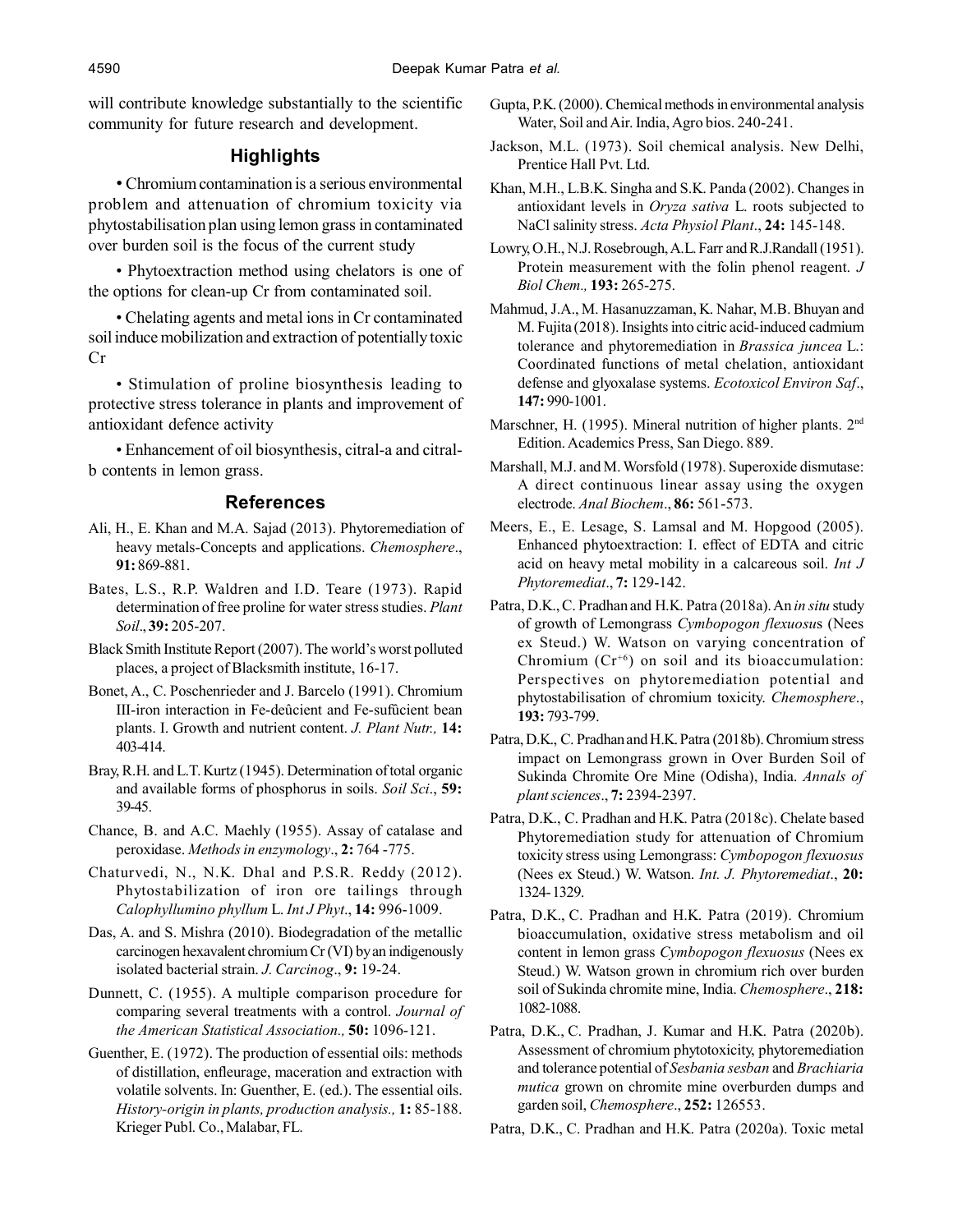will contribute knowledge substantially to the scientific community for future research and development.

# **Highlights**

• Chromium contamination is a serious environmental problem and attenuation of chromium toxicity via phytostabilisation plan using lemon grass in contaminated over burden soil is the focus of the current study

• Phytoextraction method using chelators is one of the options for clean-up Cr from contaminated soil.

• Chelating agents and metal ions in Cr contaminated soil induce mobilization and extraction of potentially toxic Cr

• Stimulation of proline biosynthesis leading to protective stress tolerance in plants and improvement of antioxidant defence activity

• Enhancement of oil biosynthesis, citral-a and citralb contents in lemon grass.

## **References**

- Ali, H., E. Khan and M.A. Sajad (2013). Phytoremediation of heavy metals-Concepts and applications. *Chemosphere*., **91:** 869-881.
- Bates, L.S., R.P. Waldren and I.D. Teare (1973). Rapid determination of free proline for water stress studies. *Plant Soil*., **39:** 205-207.
- Black Smith Institute Report (2007). The world's worst polluted places, a project of Blacksmith institute, 16-17.
- Bonet, A., C. Poschenrieder and J. Barcelo (1991). Chromium III-iron interaction in Fe-deûcient and Fe-sufûcient bean plants. I. Growth and nutrient content. *J. Plant Nutr.,* **14:** 403-414.
- Bray, R.H. and L.T. Kurtz (1945). Determination of total organic and available forms of phosphorus in soils. *Soil Sci*., **59:** 39-45.
- Chance, B. and A.C. Maehly (1955). Assay of catalase and peroxidase. *Methods in enzymology*., **2:** 764 -775.
- Chaturvedi, N., N.K. Dhal and P.S.R. Reddy (2012). Phytostabilization of iron ore tailings through *Calophyllumino phyllum* L. *Int J Phyt*., **14:** 996-1009.
- Das, A. and S. Mishra (2010). Biodegradation of the metallic carcinogen hexavalent chromium Cr (VI) by an indigenously isolated bacterial strain. *J. Carcinog*., **9:** 19-24.
- Dunnett, C. (1955). A multiple comparison procedure for comparing several treatments with a control. *Journal of the American Statistical Association.,* **50:** 1096-121.
- Guenther, E. (1972). The production of essential oils: methods of distillation, enfleurage, maceration and extraction with volatile solvents. In: Guenther, E. (ed.). The essential oils. *History-origin in plants, production analysis.,* **1:** 85-188. Krieger Publ. Co., Malabar, FL.
- Gupta, P.K. (2000). Chemical methods in environmental analysis Water, Soil and Air. India, Agro bios. 240-241.
- Jackson, M.L. (1973). Soil chemical analysis. New Delhi, Prentice Hall Pvt. Ltd.
- Khan, M.H., L.B.K. Singha and S.K. Panda (2002). Changes in antioxidant levels in *Oryza sativa* L. roots subjected to NaCl salinity stress. *Acta Physiol Plant*., **24:** 145-148.

Lowry, O.H., N.J. Rosebrough, A.L. Farr and R.J.Randall (1951). Protein measurement with the folin phenol reagent. *J Biol Chem.,* **193:** 265-275.

- Mahmud, J.A., M. Hasanuzzaman, K. Nahar, M.B. Bhuyan and M. Fujita (2018). Insights into citric acid-induced cadmium tolerance and phytoremediation in *Brassica juncea* L.: Coordinated functions of metal chelation, antioxidant defense and glyoxalase systems. *Ecotoxicol Environ Saf*., **147:** 990-1001.
- Marschner, H. (1995). Mineral nutrition of higher plants. 2<sup>nd</sup> Edition. Academics Press, San Diego. 889.
- Marshall, M.J. and M. Worsfold (1978). Superoxide dismutase: A direct continuous linear assay using the oxygen electrode. *Anal Biochem*., **86:** 561-573.
- Meers, E., E. Lesage, S. Lamsal and M. Hopgood (2005). Enhanced phytoextraction: I. effect of EDTA and citric acid on heavy metal mobility in a calcareous soil. *Int J Phytoremediat*., **7:** 129-142.
- Patra, D.K., C. Pradhan and H.K. Patra (2018a). An *in situ* study of growth of Lemongrass *Cymbopogon flexuosu*s (Nees ex Steud.) W. Watson on varying concentration of Chromium  $(Cr^{+6})$  on soil and its bioaccumulation: Perspectives on phytoremediation potential and phytostabilisation of chromium toxicity. *Chemosphere*., **193:** 793-799.
- Patra, D.K., C. Pradhan and H.K. Patra (2018b). Chromium stress impact on Lemongrass grown in Over Burden Soil of Sukinda Chromite Ore Mine (Odisha), India. *Annals of plant sciences*., **7:** 2394-2397.
- Patra, D.K., C. Pradhan and H.K. Patra (2018c). Chelate based Phytoremediation study for attenuation of Chromium toxicity stress using Lemongrass: *Cymbopogon flexuosus* (Nees ex Steud.) W. Watson. *Int. J. Phytoremediat*., **20:** 1324- 1329.
- Patra, D.K., C. Pradhan and H.K. Patra (2019). Chromium bioaccumulation, oxidative stress metabolism and oil content in lemon grass *Cymbopogon flexuosus* (Nees ex Steud.) W. Watson grown in chromium rich over burden soil of Sukinda chromite mine, India. *Chemosphere*., **218:** 1082-1088.
- Patra, D.K., C. Pradhan, J. Kumar and H.K. Patra (2020b). Assessment of chromium phytotoxicity, phytoremediation and tolerance potential of *Sesbania sesban* and *Brachiaria mutica* grown on chromite mine overburden dumps and garden soil, *Chemosphere*., **252:** 126553.
- Patra, D.K., C. Pradhan and H.K. Patra (2020a). Toxic metal